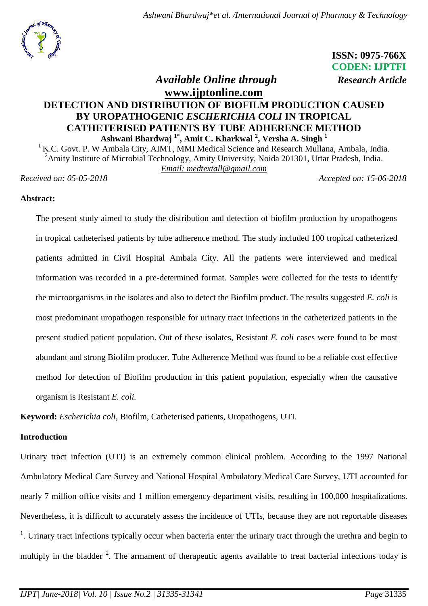

 **ISSN: 0975-766X CODEN: IJPTFI**

## *Available Online through Research Article* **[www.ijptonline.com](http://www.ijptonline.com/)**

# **DETECTION AND DISTRIBUTION OF BIOFILM PRODUCTION CAUSED BY UROPATHOGENIC** *ESCHERICHIA COLI* **IN TROPICAL CATHETERISED PATIENTS BY TUBE ADHERENCE METHOD Ashwani Bhardwaj 1\*, Amit C. Kharkwal <sup>2</sup> , Versha A. Singh <sup>1</sup>**

 $1$  K.C. Govt. P. W Ambala City, AIMT, MMI Medical Science and Research Mullana, Ambala, India. <sup>2</sup>Amity Institute of Microbial Technology, Amity University, Noida 201301, Uttar Pradesh, India. *Email: medtextall@gmail.com*

*Received on: 05-05-2018 Accepted on: 15-06-2018*

## **Abstract:**

The present study aimed to study the distribution and detection of biofilm production by uropathogens in tropical catheterised patients by tube adherence method. The study included 100 tropical catheterized patients admitted in Civil Hospital Ambala City. All the patients were interviewed and medical information was recorded in a pre-determined format. Samples were collected for the tests to identify the microorganisms in the isolates and also to detect the Biofilm product. The results suggested *E. coli* is most predominant uropathogen responsible for urinary tract infections in the catheterized patients in the present studied patient population. Out of these isolates, Resistant *E. coli* cases were found to be most abundant and strong Biofilm producer. Tube Adherence Method was found to be a reliable cost effective method for detection of Biofilm production in this patient population, especially when the causative organism is Resistant *E. coli.*

**Keyword:** *Escherichia coli*, Biofilm, Catheterised patients, Uropathogens, UTI.

## **Introduction**

Urinary tract infection (UTI) is an extremely common clinical problem. According to the 1997 National Ambulatory Medical Care Survey and National Hospital Ambulatory Medical Care Survey, UTI accounted for nearly 7 million office visits and 1 million emergency department visits, resulting in 100,000 hospitalizations. Nevertheless, it is difficult to accurately assess the incidence of UTIs, because they are not reportable diseases <sup>1</sup>. Urinary tract infections typically occur when bacteria enter the urinary tract through the urethra and begin to multiply in the bladder <sup>2</sup>. The armament of therapeutic agents available to treat bacterial infections today is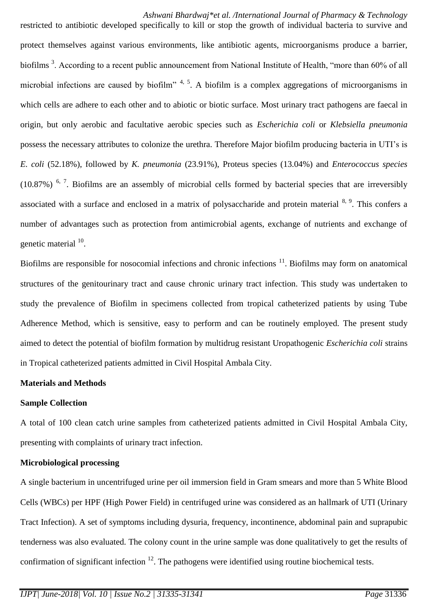restricted to antibiotic developed specifically to kill or stop the growth of individual bacteria to survive and protect themselves against various environments, like antibiotic agents, microorganisms produce a barrier, biofilms<sup>3</sup>. According to a recent public announcement from National Institute of Health, "more than 60% of all microbial infections are caused by biofilm"  $4, 5$ . A biofilm is a complex aggregations of microorganisms in which cells are adhere to each other and to abiotic or biotic surface. Most urinary tract pathogens are faecal in origin, but only aerobic and facultative aerobic species such as *Escherichia coli* or *Klebsiella pneumonia*  possess the necessary attributes to colonize the urethra. Therefore Major biofilm producing bacteria in UTI's is *E. coli* (52.18%), followed by *K. pneumonia* (23.91%), Proteus species (13.04%) and *Enterococcus species*   $(10.87%)$ <sup>6, 7</sup>. Biofilms are an assembly of microbial cells formed by bacterial species that are irreversibly associated with a surface and enclosed in a matrix of polysaccharide and protein material <sup>8, 9</sup>. This confers a number of advantages such as protection from antimicrobial agents, exchange of nutrients and exchange of genetic material <sup>10</sup>.

Biofilms are responsible for nosocomial infections and chronic infections  $11$ . Biofilms may form on anatomical structures of the genitourinary tract and cause chronic urinary tract infection. This study was undertaken to study the prevalence of Biofilm in specimens collected from tropical catheterized patients by using Tube Adherence Method, which is sensitive, easy to perform and can be routinely employed. The present study aimed to detect the potential of biofilm formation by multidrug resistant Uropathogenic *Escherichia coli* strains in Tropical catheterized patients admitted in Civil Hospital Ambala City.

#### **Materials and Methods**

#### **Sample Collection**

A total of 100 clean catch urine samples from catheterized patients admitted in Civil Hospital Ambala City, presenting with complaints of urinary tract infection.

## **Microbiological processing**

A single bacterium in uncentrifuged urine per oil immersion field in Gram smears and more than 5 White Blood Cells (WBCs) per HPF (High Power Field) in centrifuged urine was considered as an hallmark of UTI (Urinary Tract Infection). A set of symptoms including dysuria, frequency, incontinence, abdominal pain and suprapubic tenderness was also evaluated. The colony count in the urine sample was done qualitatively to get the results of confirmation of significant infection  $12$ . The pathogens were identified using routine biochemical tests.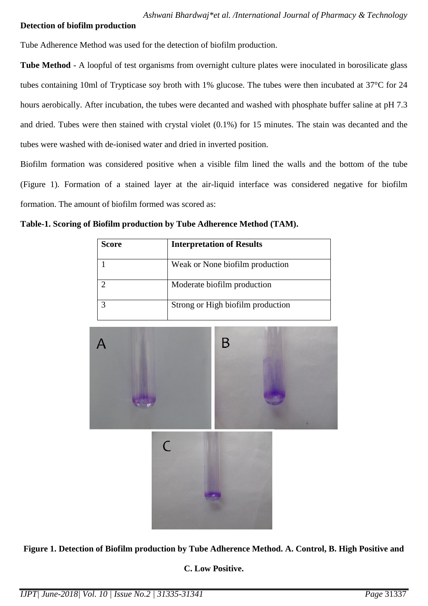## **Detection of biofilm production**

Tube Adherence Method was used for the detection of biofilm production.

**Tube Method** - A loopful of test organisms from overnight culture plates were inoculated in borosilicate glass tubes containing 10ml of Trypticase soy broth with 1% glucose. The tubes were then incubated at 37°C for 24 hours aerobically. After incubation, the tubes were decanted and washed with phosphate buffer saline at pH 7.3 and dried. Tubes were then stained with crystal violet (0.1%) for 15 minutes. The stain was decanted and the tubes were washed with de-ionised water and dried in inverted position.

Biofilm formation was considered positive when a visible film lined the walls and the bottom of the tube (Figure 1). Formation of a stained layer at the air-liquid interface was considered negative for biofilm formation. The amount of biofilm formed was scored as:

**Table-1. Scoring of Biofilm production by Tube Adherence Method (TAM).**

| <b>Score</b> | <b>Interpretation of Results</b>  |
|--------------|-----------------------------------|
|              | Weak or None biofilm production   |
|              | Moderate biofilm production       |
|              | Strong or High biofilm production |



**Figure 1. Detection of Biofilm production by Tube Adherence Method. A. Control, B. High Positive and** 

**C. Low Positive.**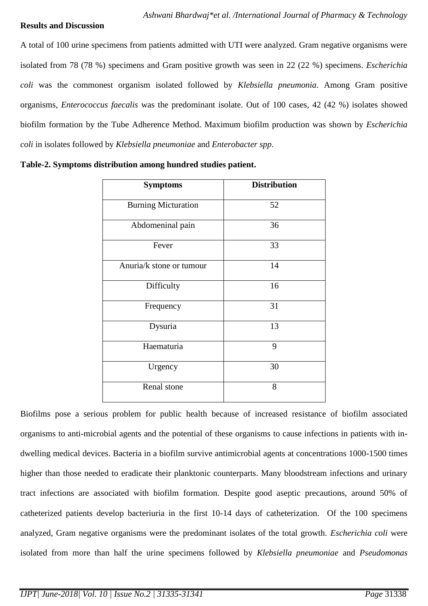#### **Results and Discussion**

A total of 100 urine specimens from patients admitted with UTI were analyzed. Gram negative organisms were isolated from 78 (78 %) specimens and Gram positive growth was seen in 22 (22 %) specimens. *Escherichia coli* was the commonest organism isolated followed by *Klebsiella pneumonia*. Among Gram positive organisms, *Enterococcus faecalis* was the predominant isolate. Out of 100 cases, 42 (42 %) isolates showed biofilm formation by the Tube Adherence Method. Maximum biofilm production was shown by *Escherichia coli* in isolates followed by *Klebsiella pneumoniae* and *Enterobacter spp*.

| <b>Symptoms</b>            | <b>Distribution</b> |  |
|----------------------------|---------------------|--|
| <b>Burning Micturation</b> | 52                  |  |
| Abdomeninal pain           | 36                  |  |
| Fever                      | 33                  |  |
| Anuria/k stone or tumour   | 14                  |  |
| Difficulty                 | 16                  |  |
| Frequency                  | 31                  |  |
| Dysuria                    | 13                  |  |
| Haematuria                 | 9                   |  |
| Urgency                    | 30                  |  |
| Renal stone                | 8                   |  |

Biofilms pose a serious problem for public health because of increased resistance of biofilm associated organisms to anti-microbial agents and the potential of these organisms to cause infections in patients with indwelling medical devices. Bacteria in a biofilm survive antimicrobial agents at concentrations 1000-1500 times higher than those needed to eradicate their planktonic counterparts. Many bloodstream infections and urinary tract infections are associated with biofilm formation. Despite good aseptic precautions, around 50% of catheterized patients develop bacteriuria in the first 10-14 days of catheterization. Of the 100 specimens analyzed, Gram negative organisms were the predominant isolates of the total growth. *Escherichia coli* were isolated from more than half the urine specimens followed by *Klebsiella pneumoniae* and *Pseudomonas*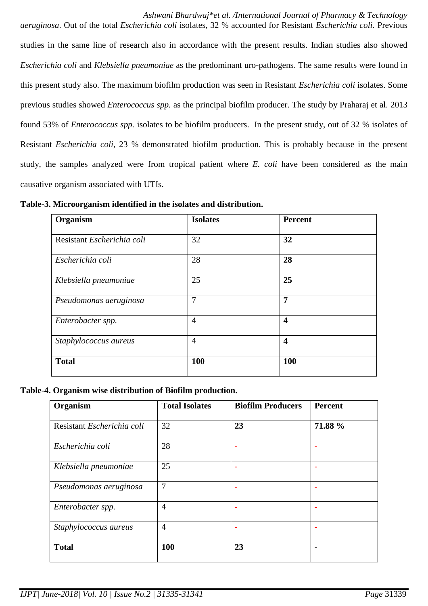*Ashwani Bhardwaj\*et al. /International Journal of Pharmacy & Technology*

*aeruginosa*. Out of the total *Escherichia coli* isolates, 32 % accounted for Resistant *Escherichia coli.* Previous studies in the same line of research also in accordance with the present results. Indian studies also showed *Escherichia coli* and *Klebsiella pneumoniae* as the predominant uro-pathogens. The same results were found in this present study also. The maximum biofilm production was seen in Resistant *Escherichia coli* isolates. Some previous studies showed *Enterococcus spp.* as the principal biofilm producer. The study by Praharaj et al. 2013 found 53% of *Enterococcus spp.* isolates to be biofilm producers. In the present study, out of 32 % isolates of Resistant *Escherichia coli*, 23 % demonstrated biofilm production. This is probably because in the present study, the samples analyzed were from tropical patient where *E. coli* have been considered as the main causative organism associated with UTIs.

| Organism                   | <b>Isolates</b> | Percent                 |  |
|----------------------------|-----------------|-------------------------|--|
| Resistant Escherichia coli | 32              | 32                      |  |
| Escherichia coli           | 28              | 28                      |  |
| Klebsiella pneumoniae      | 25              | 25                      |  |
| Pseudomonas aeruginosa     | 7               | 7                       |  |
| Enterobacter spp.          | $\overline{4}$  | $\overline{\mathbf{4}}$ |  |
| Staphylococcus aureus      | $\overline{4}$  | $\overline{\mathbf{4}}$ |  |
| <b>Total</b>               | 100             | 100                     |  |

**Table-3. Microorganism identified in the isolates and distribution.**

## **Table-4. Organism wise distribution of Biofilm production.**

| Organism                   | <b>Total Isolates</b> | <b>Biofilm Producers</b> | Percent |
|----------------------------|-----------------------|--------------------------|---------|
| Resistant Escherichia coli | 32                    | 23                       | 71.88 % |
| Escherichia coli           | 28                    | ۰                        |         |
| Klebsiella pneumoniae      | 25                    | ۰                        | ٠       |
| Pseudomonas aeruginosa     | 7                     | ۰                        | ۰       |
| Enterobacter spp.          | $\overline{4}$        | ٠                        | ٠       |
| Staphylococcus aureus      | $\overline{4}$        | ۰                        | ٠       |
| <b>Total</b>               | 100                   | 23                       | ۰       |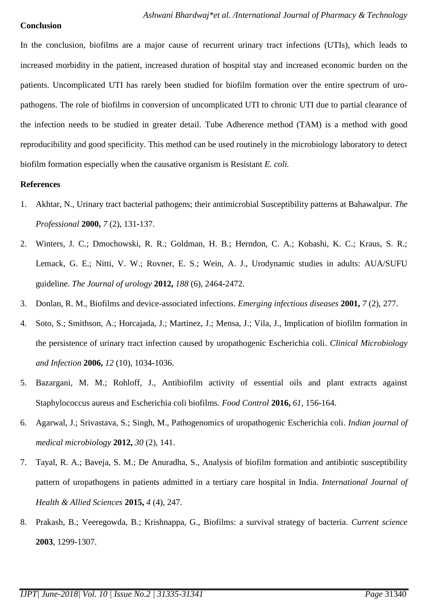#### **Conclusion**

In the conclusion, biofilms are a major cause of recurrent urinary tract infections (UTIs), which leads to increased morbidity in the patient, increased duration of hospital stay and increased economic burden on the patients. Uncomplicated UTI has rarely been studied for biofilm formation over the entire spectrum of uropathogens. The role of biofilms in conversion of uncomplicated UTI to chronic UTI due to partial clearance of the infection needs to be studied in greater detail. Tube Adherence method (TAM) is a method with good reproducibility and good specificity. This method can be used routinely in the microbiology laboratory to detect biofilm formation especially when the causative organism is Resistant *E. coli.* 

#### **References**

- 1. Akhtar, N., Urinary tract bacterial pathogens; their antimicrobial Susceptibility patterns at Bahawalpur. *The Professional* **2000,** *7* (2), 131-137.
- 2. Winters, J. C.; Dmochowski, R. R.; Goldman, H. B.; Herndon, C. A.; Kobashi, K. C.; Kraus, S. R.; Lemack, G. E.; Nitti, V. W.; Rovner, E. S.; Wein, A. J., Urodynamic studies in adults: AUA/SUFU guideline. *The Journal of urology* **2012,** *188* (6), 2464-2472.
- 3. Donlan, R. M., Biofilms and device-associated infections. *Emerging infectious diseases* **2001,** *7* (2), 277.
- 4. Soto, S.; Smithson, A.; Horcajada, J.; Martinez, J.; Mensa, J.; Vila, J., Implication of biofilm formation in the persistence of urinary tract infection caused by uropathogenic Escherichia coli. *Clinical Microbiology and Infection* **2006,** *12* (10), 1034-1036.
- 5. Bazargani, M. M.; Rohloff, J., Antibiofilm activity of essential oils and plant extracts against Staphylococcus aureus and Escherichia coli biofilms. *Food Control* **2016,** *61*, 156-164.
- 6. Agarwal, J.; Srivastava, S.; Singh, M., Pathogenomics of uropathogenic Escherichia coli. *Indian journal of medical microbiology* **2012,** *30* (2), 141.
- 7. Tayal, R. A.; Baveja, S. M.; De Anuradha, S., Analysis of biofilm formation and antibiotic susceptibility pattern of uropathogens in patients admitted in a tertiary care hospital in India. *International Journal of Health & Allied Sciences* **2015,** *4* (4), 247.
- 8. Prakash, B.; Veeregowda, B.; Krishnappa, G., Biofilms: a survival strategy of bacteria. *Current science*  **2003**, 1299-1307.